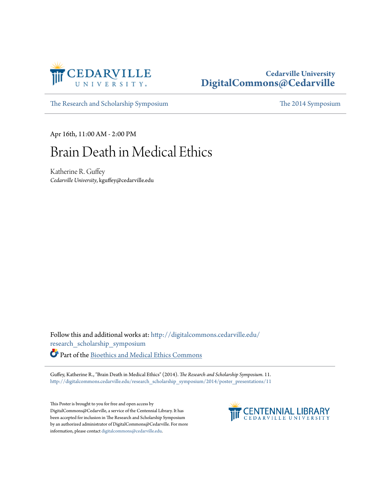

#### **Cedarville University [DigitalCommons@Cedarville](http://digitalcommons.cedarville.edu?utm_source=digitalcommons.cedarville.edu%2Fresearch_scholarship_symposium%2F2014%2Fposter_presentations%2F11&utm_medium=PDF&utm_campaign=PDFCoverPages)**

[The Research and Scholarship Symposium](http://digitalcommons.cedarville.edu/research_scholarship_symposium?utm_source=digitalcommons.cedarville.edu%2Fresearch_scholarship_symposium%2F2014%2Fposter_presentations%2F11&utm_medium=PDF&utm_campaign=PDFCoverPages) [The 2014 Symposium](http://digitalcommons.cedarville.edu/research_scholarship_symposium/2014?utm_source=digitalcommons.cedarville.edu%2Fresearch_scholarship_symposium%2F2014%2Fposter_presentations%2F11&utm_medium=PDF&utm_campaign=PDFCoverPages)

Apr 16th, 11:00 AM - 2:00 PM

#### Brain Death in Medical Ethics

Katherine R. Guffey *Cedarville University*, kguffey@cedarville.edu

Follow this and additional works at: [http://digitalcommons.cedarville.edu/](http://digitalcommons.cedarville.edu/research_scholarship_symposium?utm_source=digitalcommons.cedarville.edu%2Fresearch_scholarship_symposium%2F2014%2Fposter_presentations%2F11&utm_medium=PDF&utm_campaign=PDFCoverPages) [research\\_scholarship\\_symposium](http://digitalcommons.cedarville.edu/research_scholarship_symposium?utm_source=digitalcommons.cedarville.edu%2Fresearch_scholarship_symposium%2F2014%2Fposter_presentations%2F11&utm_medium=PDF&utm_campaign=PDFCoverPages) Part of the [Bioethics and Medical Ethics Commons](http://network.bepress.com/hgg/discipline/650?utm_source=digitalcommons.cedarville.edu%2Fresearch_scholarship_symposium%2F2014%2Fposter_presentations%2F11&utm_medium=PDF&utm_campaign=PDFCoverPages)

Guffey, Katherine R., "Brain Death in Medical Ethics" (2014). *The Research and Scholarship Symposium*. 11. [http://digitalcommons.cedarville.edu/research\\_scholarship\\_symposium/2014/poster\\_presentations/11](http://digitalcommons.cedarville.edu/research_scholarship_symposium/2014/poster_presentations/11?utm_source=digitalcommons.cedarville.edu%2Fresearch_scholarship_symposium%2F2014%2Fposter_presentations%2F11&utm_medium=PDF&utm_campaign=PDFCoverPages)

This Poster is brought to you for free and open access by DigitalCommons@Cedarville, a service of the Centennial Library. It has been accepted for inclusion in The Research and Scholarship Symposium by an authorized administrator of DigitalCommons@Cedarville. For more information, please contact [digitalcommons@cedarville.edu.](mailto:digitalcommons@cedarville.edu)